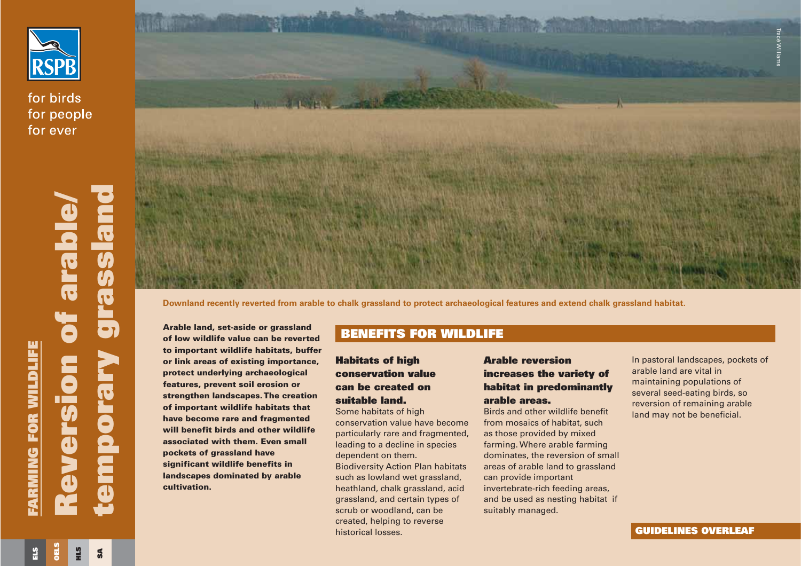

for birds for people for ever



**Arable land, set-aside or grassland of low wildlife value can be revertedto important wildlife habitats, buffer or link areas of existing importance, protect underlying archaeological features, prevent soil erosion or strengthen landscapes. The creation of important wildlife habitats that have become rare and fragmented will benefit birds and other wildlifeassociated with them. Even smallpockets of grassland have significant wildlife benefits in landscapes dominated by arable cultivation.**

## **Habitats of high conservation value can be created onsuitable land.**

Some habitats of high conservation value have becomeparticularly rare and fragmented, leading to a decline in species dependent on them. Biodiversity Action Plan habitats such as lowland wet grassland, heathland, chalk grassland, acid grassland, and certain types of scrub or woodland, can be created, helping to reverse

historical losses.

**GUIDELINES OVERLEAF**

**SA**